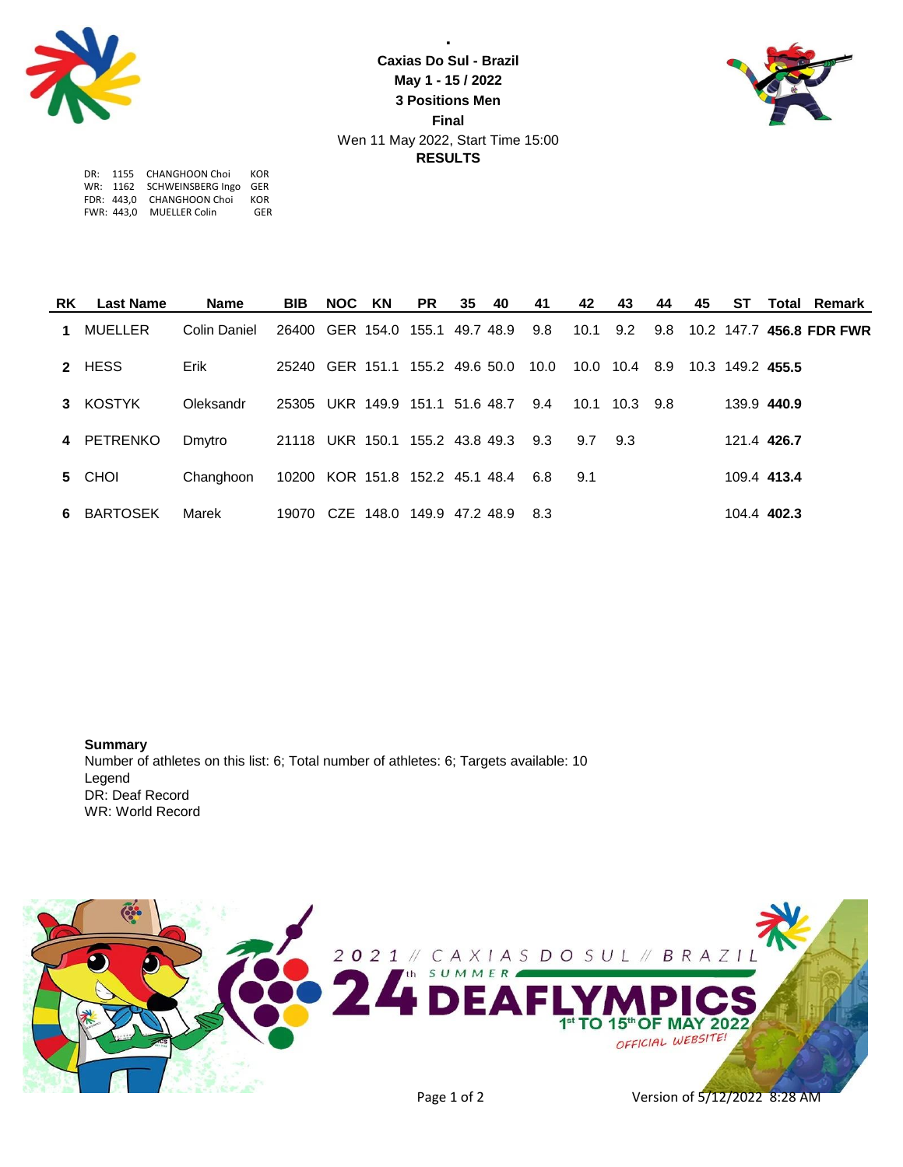

**RESULTS** Wen 11 May 2022, Start Time 15:00 **Caxias Do Sul - Brazil May 1 - 15 / 2022 3 Positions Men Final**

**.**



DR: 1155 CHANGHOON Choi KOR WR: 1162 SCHWEINSBERG Ingo GER FDR: 443,0 CHANGHOON Choi KOR<br>FWR: 443,0 MUELLER Colin GER FWR: 443,0 MUELLER Colin

| <b>RK</b> Last Name | <b>Name</b>  | BIB NOC                             | KN | <b>PR</b>                 | 35 40 | 41   | 42      | 43                  | 44 | 45 | ST               |             | <b>Total Remark</b>                   |
|---------------------|--------------|-------------------------------------|----|---------------------------|-------|------|---------|---------------------|----|----|------------------|-------------|---------------------------------------|
| MUELLER             | Colin Daniel | 26400 GER 154.0 155.1 49.7 48.9 9.8 |    |                           |       |      |         |                     |    |    |                  |             | 10.1 9.2 9.8 10.2 147.7 456.8 FDR FWR |
| 2 HESS              | Erik         | 25240 GER 151.1 155.2 49.6 50.0     |    |                           |       | 10.0 |         | $10.0$ $10.4$ $8.9$ |    |    | 10.3 149.2 455.5 |             |                                       |
| 3 KOSTYK            | Oleksandr    | 25305                               |    | UKR 149.9 151.1 51.6 48.7 |       | 9.4  |         | 10.1 10.3 9.8       |    |    | 139.9 440.9      |             |                                       |
| 4 PETRENKO          | Dmytro       | 21118 UKR 150.1 155.2 43.8 49.3 9.3 |    |                           |       |      | 9.7 9.3 |                     |    |    | 121.4 426.7      |             |                                       |
| 5 CHOI              | Changhoon    | 10200 KOR 151.8 152.2 45.1 48.4 6.8 |    |                           |       |      | 9.1     |                     |    |    | 109.4 413.4      |             |                                       |
| 6 BARTOSEK          | Marek        | 19070 CZE 148.0 149.9 47.2 48.9 8.3 |    |                           |       |      |         |                     |    |    |                  | 104.4 402.3 |                                       |

**Summary** Number of athletes on this list: 6; Total number of athletes: 6; Targets available: 10 Legend DR: Deaf Record WR: World Record

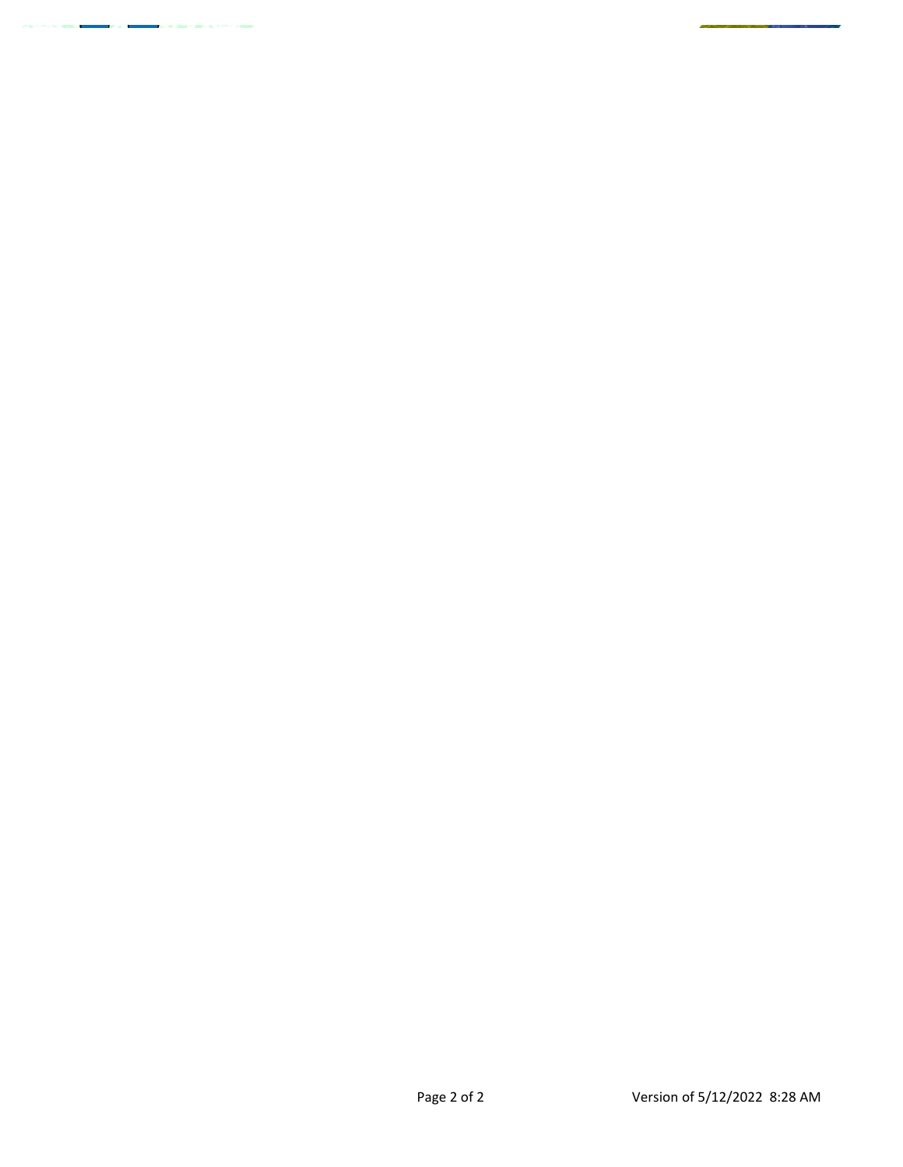Version of 5/12/2022 8:28 AM